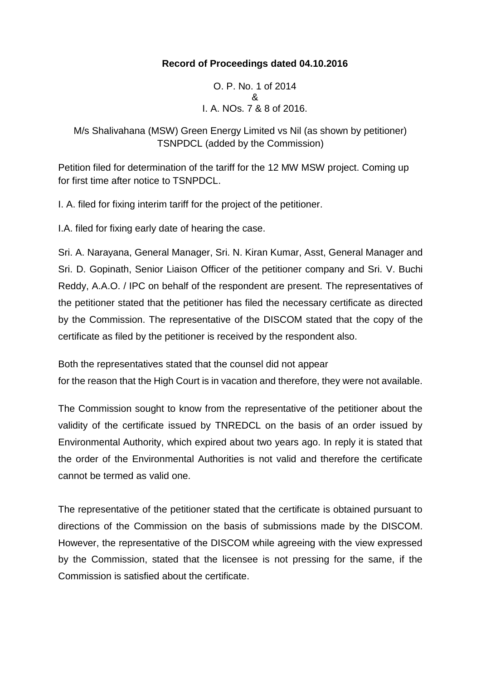## **Record of Proceedings dated 04.10.2016**

O. P. No. 1 of 2014 & I. A. NOs. 7 & 8 of 2016.

M/s Shalivahana (MSW) Green Energy Limited vs Nil (as shown by petitioner) TSNPDCL (added by the Commission)

Petition filed for determination of the tariff for the 12 MW MSW project. Coming up for first time after notice to TSNPDCL.

I. A. filed for fixing interim tariff for the project of the petitioner.

I.A. filed for fixing early date of hearing the case.

Sri. A. Narayana, General Manager, Sri. N. Kiran Kumar, Asst, General Manager and Sri. D. Gopinath, Senior Liaison Officer of the petitioner company and Sri. V. Buchi Reddy, A.A.O. / IPC on behalf of the respondent are present. The representatives of the petitioner stated that the petitioner has filed the necessary certificate as directed by the Commission. The representative of the DISCOM stated that the copy of the certificate as filed by the petitioner is received by the respondent also.

Both the representatives stated that the counsel did not appear

for the reason that the High Court is in vacation and therefore, they were not available.

The Commission sought to know from the representative of the petitioner about the validity of the certificate issued by TNREDCL on the basis of an order issued by Environmental Authority, which expired about two years ago. In reply it is stated that the order of the Environmental Authorities is not valid and therefore the certificate cannot be termed as valid one.

The representative of the petitioner stated that the certificate is obtained pursuant to directions of the Commission on the basis of submissions made by the DISCOM. However, the representative of the DISCOM while agreeing with the view expressed by the Commission, stated that the licensee is not pressing for the same, if the Commission is satisfied about the certificate.